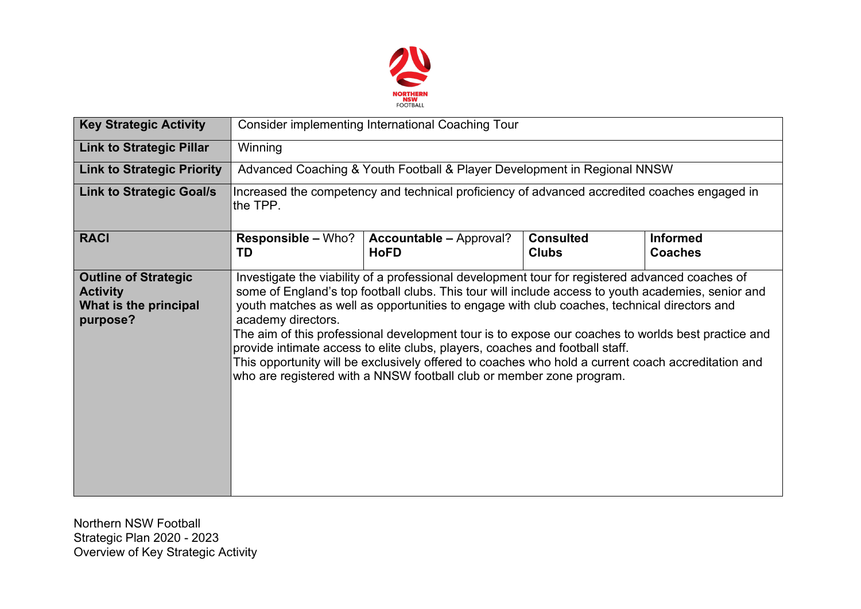

| <b>Key Strategic Activity</b>                                                       | <b>Consider implementing International Coaching Tour</b>                                                                                                                                                                                                                                                                                                                                                                                                                                                                                                                                                                                                                                       |                                               |                                  |                                   |  |  |
|-------------------------------------------------------------------------------------|------------------------------------------------------------------------------------------------------------------------------------------------------------------------------------------------------------------------------------------------------------------------------------------------------------------------------------------------------------------------------------------------------------------------------------------------------------------------------------------------------------------------------------------------------------------------------------------------------------------------------------------------------------------------------------------------|-----------------------------------------------|----------------------------------|-----------------------------------|--|--|
| <b>Link to Strategic Pillar</b>                                                     | Winning                                                                                                                                                                                                                                                                                                                                                                                                                                                                                                                                                                                                                                                                                        |                                               |                                  |                                   |  |  |
| <b>Link to Strategic Priority</b>                                                   | Advanced Coaching & Youth Football & Player Development in Regional NNSW                                                                                                                                                                                                                                                                                                                                                                                                                                                                                                                                                                                                                       |                                               |                                  |                                   |  |  |
| <b>Link to Strategic Goal/s</b>                                                     | Increased the competency and technical proficiency of advanced accredited coaches engaged in<br>the TPP.                                                                                                                                                                                                                                                                                                                                                                                                                                                                                                                                                                                       |                                               |                                  |                                   |  |  |
| <b>RACI</b>                                                                         | Responsible - Who?<br>TD                                                                                                                                                                                                                                                                                                                                                                                                                                                                                                                                                                                                                                                                       | <b>Accountable - Approval?</b><br><b>HoFD</b> | <b>Consulted</b><br><b>Clubs</b> | <b>Informed</b><br><b>Coaches</b> |  |  |
| <b>Outline of Strategic</b><br><b>Activity</b><br>What is the principal<br>purpose? | Investigate the viability of a professional development tour for registered advanced coaches of<br>some of England's top football clubs. This tour will include access to youth academies, senior and<br>youth matches as well as opportunities to engage with club coaches, technical directors and<br>academy directors.<br>The aim of this professional development tour is to expose our coaches to worlds best practice and<br>provide intimate access to elite clubs, players, coaches and football staff.<br>This opportunity will be exclusively offered to coaches who hold a current coach accreditation and<br>who are registered with a NNSW football club or member zone program. |                                               |                                  |                                   |  |  |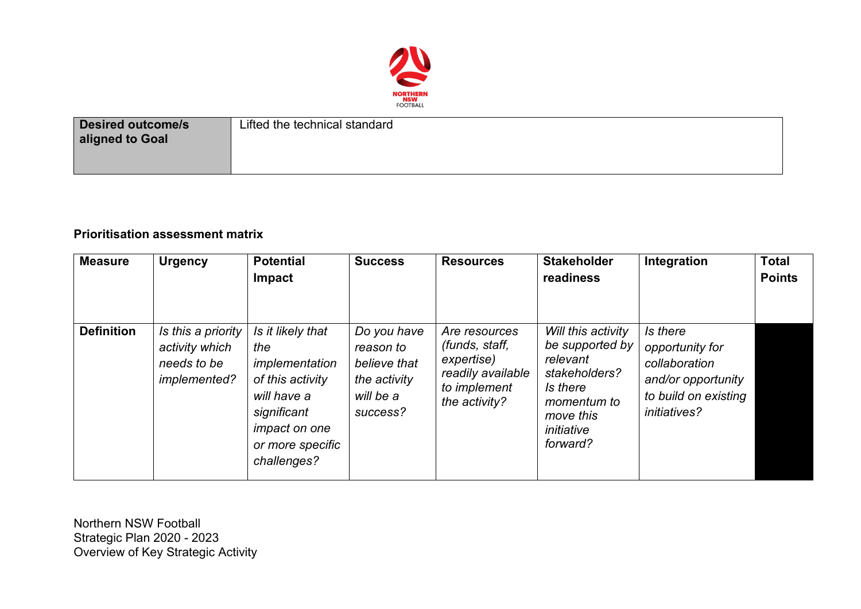

| <b>Desired outcome/s</b><br>aligned to Goal | Lifted the technical standard |
|---------------------------------------------|-------------------------------|
|                                             |                               |

## **Prioritisation assessment matrix**

| <b>Measure</b>    | <b>Urgency</b>                                                             | <b>Potential</b><br>Impact                                                                                                                              | <b>Success</b>                                                                    | <b>Resources</b>                                                                                    | <b>Stakeholder</b><br>readiness                                                                                                      | Integration                                                                                                       | <b>Total</b><br><b>Points</b> |
|-------------------|----------------------------------------------------------------------------|---------------------------------------------------------------------------------------------------------------------------------------------------------|-----------------------------------------------------------------------------------|-----------------------------------------------------------------------------------------------------|--------------------------------------------------------------------------------------------------------------------------------------|-------------------------------------------------------------------------------------------------------------------|-------------------------------|
| <b>Definition</b> | Is this a priority<br>activity which<br>needs to be<br><i>implemented?</i> | Is it likely that<br>the<br>implementation<br>of this activity<br>will have a<br>significant<br><i>impact on one</i><br>or more specific<br>challenges? | Do you have<br>reason to<br>believe that<br>the activity<br>will be a<br>success? | Are resources<br>(funds, staff,<br>expertise)<br>readily available<br>to implement<br>the activity? | Will this activity<br>be supported by<br>relevant<br>stakeholders?<br>Is there<br>momentum to<br>move this<br>initiative<br>forward? | Is there<br>opportunity for<br>collaboration<br>and/or opportunity<br>to build on existing<br><i>initiatives?</i> |                               |

Northern NSW Football Strategic Plan 2020 - 2023 Overview of Key Strategic Activity